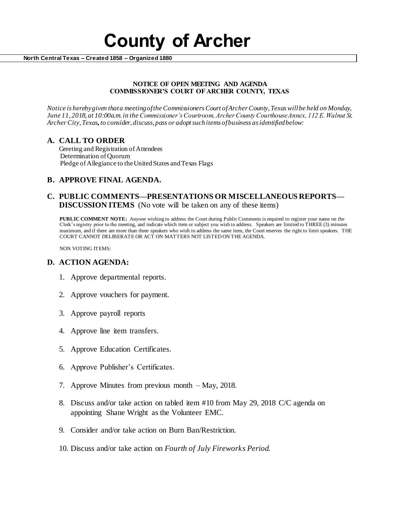# **County of Archer**

 **North Central Texas – Created 1858 – Organized 1880**

#### **NOTICE OF OPEN MEETING AND AGENDA COMMISSIONER'S COURT OF ARCHER COUNTY, TEXAS**

*Notice is hereby given that a meeting of the Commissioners Court of Archer County, Texas will be held on Monday, June 11, 2018, at 10:00a.m. in the Commissioner's Courtroom, Archer County Courthouse Annex, 112 E. Walnut St, Archer City, Texas, to consider, discuss, pass or adopt such items of business as identified below:*

# **A. CALL TO ORDER**

 Greeting and Registration of Attendees Determination of Quorum Pledge of Allegiance to the United States and Texas Flags

# **B. APPROVE FINAL AGENDA.**

### **C. PUBLIC COMMENTS—PRESENTATIONS OR MISCELLANEOUS REPORTS— DISCUSSION ITEMS** (No vote will be taken on any of these items)

**PUBLIC COMMENT NOTE:** Anyone wishing to address the Court during Public Comments is required to register your name on the Clerk's registry prior to the meeting, and indicate which item or subject you wish to address. Speakers are limited to THREE (3) minutes maximum, and if there are more than three speakers who wish to address the same item, the Court reserves the right to limit speakers. THE COURT CANNOT DELIBERATE OR ACT ON MATTERS NOT LISTED ON THE AGENDA.

NON VOTING ITEMS:

### **D. ACTION AGENDA:**

- 1. Approve departmental reports.
- 2. Approve vouchers for payment.
- 3. Approve payroll reports
- 4. Approve line item transfers.
- 5. Approve Education Certificates.
- 6. Approve Publisher's Certificates.
- 7. Approve Minutes from previous month May, 2018.
- 8. Discuss and/or take action on tabled item #10 from May 29, 2018 C/C agenda on appointing Shane Wright as the Volunteer EMC.
- 9. Consider and/or take action on Burn Ban/Restriction.
- 10. Discuss and/or take action on *Fourth of July Fireworks Period.*